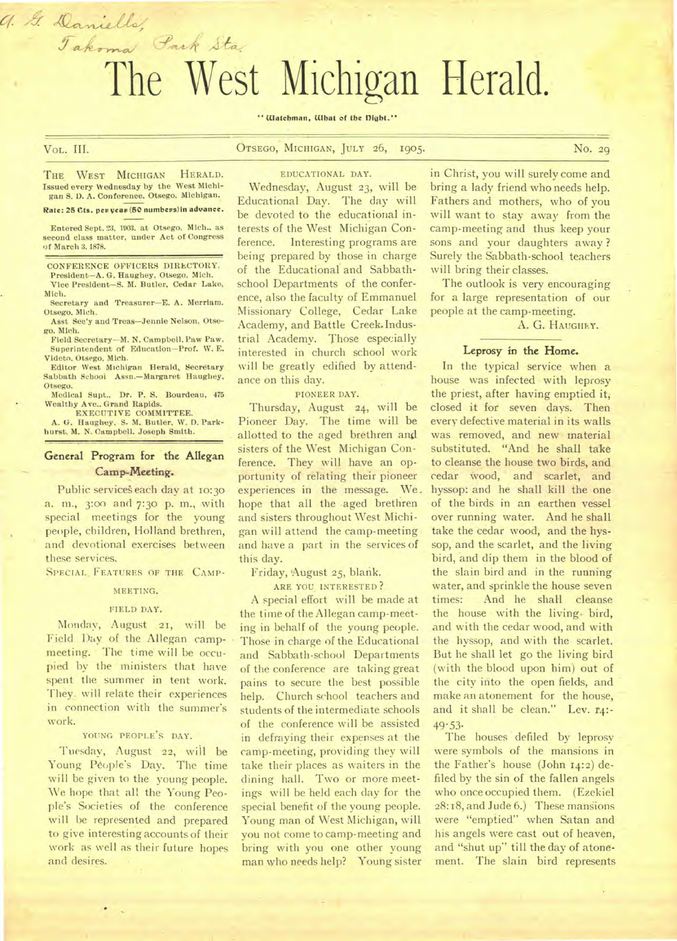# The West Michigan Herald.

# **"Watchman, What of the night."**

# VoL. **III. OTSEGO, MICHIGAN, JULY 26, 1905. No. 29**

a. G. Daniells,

**THE WEST MICHIGAN HERALD. Issued every Wednesday by the West Michigan S. D. A. Conference. Otsego, Michigan.** 

Takoma Park Sta.

#### **Rate: 25 Cts. pew veaw (50 numbews)in advance.**

**Entered Sept. 23, 1903. at Otsego. Mich.. as second class matter, under Act of Congress of March 3, 1878.** 

**CONFERENCE OFFICERS DIRECTORY. President—A. G. Haughey, Otsego, Mich. Vice President—S. M. Butler, Cedar Lake,** 

**Mich. Secretary and Treasurer—E. A. Merriam.** 

**Otsego. Mich. Asst Sec'y and Treas—Jennie Nelson, Otse-**

**go. Mich.** 

**Field Secretary—M. N. Campbell. Paw Paw. Superintendent of Education—Prof. W. E. Videto, Otsego, Mich.** 

**Editor West Michigan Herald, Secretary Sabbath School Assn.—Margaret Haughey, Otsego.** 

**Medical Supt.,** Dr. **P. S. Bourdeau, 475 Wealthy Ave.. Grand Rapids.** 

**EXECUTIVE COMMITTEE. A. G. Haughey. S. M. Butler, W. D. Parkhurst. M. N. Campbell. Joseph Smith.** 

# **General Program for the Allegan Camp-Meeting.**

Public services each day at 10:30 a. m., 3:00 and 7:30 p. m., with special meetings for the young people, children, Holland brethren, and devotional exercises between these services.

SPECIAL FEATURES OF THE CAMP-

#### **MEETING.**

#### **FIELD DAY.**

Monday, August 21, will be Field Day of the Allegan campmeeting. The time will be occupied by the ministers that have spent the summer in tent work. They<sub>-</sub> will relate their experiences in connection with the summer's work.

#### **YOUNG PEOPLE'S DAY.**

Tuesday, August **22,** will be Young People's Day. The time will be given to the young people. We hope that all the Young People's Societies of the conference will be represented and prepared to give interesting accounts of their work as well as their future hopes and desires.

**EDUCATIONAL DAY.** 

Wednesday, August 23, will be Educational Day. The day will be devoted to the educational interests of the West Michigan Conference. Interesting programs are being prepared by those in charge of the Educational and Sabbathschool Departments of the conference, also the faculty of Emmanuel Missionary College, Cedar Lake Academy, and Battle Creek.Industrial Academy. Those especially interested in church school work will be greatly edified by attendance on this day.

**PIONEER DAY.** 

Thursday, August 24, will be Pioneer Day. The time will be allotted to the aged brethren and sisters of the West Michigan Conference. They will have an opportunity of relating their pioneer experiences in the message. We. hope that all the aged brethren and sisters throughout West Michigan will attend the camp-meeting and have a part in the services of this day.

Friday, 'August 25, blank.

**ARE YOU INTERESTED ?** 

A special effort will be made at the time of the Allegan camp-meeting in behalf of the young people. Those in charge of the Educational and Sabbath-school Departments of the conference are taking great pains to secure the best possible help. Church school teachers and students of the intermediate schools of the conference will be assisted in defraying their expenses at the camp-meeting, providing they will take their places as waiters in the dining hall. Two or more meetings will be held each day for the special benefit of the young people. Young man of West Michigan, will you not come to camp-meeting and bring with you one other young man who needs help? Young sister in Christ, you will surely come and bring a lady friend who needs help. Fathers and mothers, who of you will want to stay away from the camp-meeting and thus keep your sons and your daughters away ? Surely the Sabbath-school teachers will bring their classes.

The outlook is very encouraging for a large representation of our people at the camp-meeting.

A. G. **HAUGHEY.** 

#### **Leprosy in the Home.**

In the typical service when a house was infected with leprosy the priest, after having emptied it, closed it for seven days. Then every defective material in its walls was removed, and new material substituted. "And he shall take to cleanse the house two birds, and cedar wood, and scarlet, and hyssop: and he shall kill the one of the birds in an earthen vessel over running water. And he shall take the cedar wood, and the hyssop, and the scarlet, and the living bird, and dip them in the blood of the slain bird and in the running water, and sprinkle the house seven times: And he shall cleanse the house with the living. bird, and with the cedar wood, and with the hyssop, and with the scarlet. But he shall let go the living bird (with **the** blood upon him) out of the city into the open fields, and make an atonement for the house, and it shall be clean." Lev. r4:- 49-53-

The houses defiled by leprosy were symbols of the mansions in the Father's house (John 14:2) defiled by the sin of the fallen angels who once occupied them. (Ezekiel 28:18, and Jude 6.) These mansions were "emptied" when Satan and his angels were cast out of heaven, and "shut up" till the day of atonement. The slain bird represents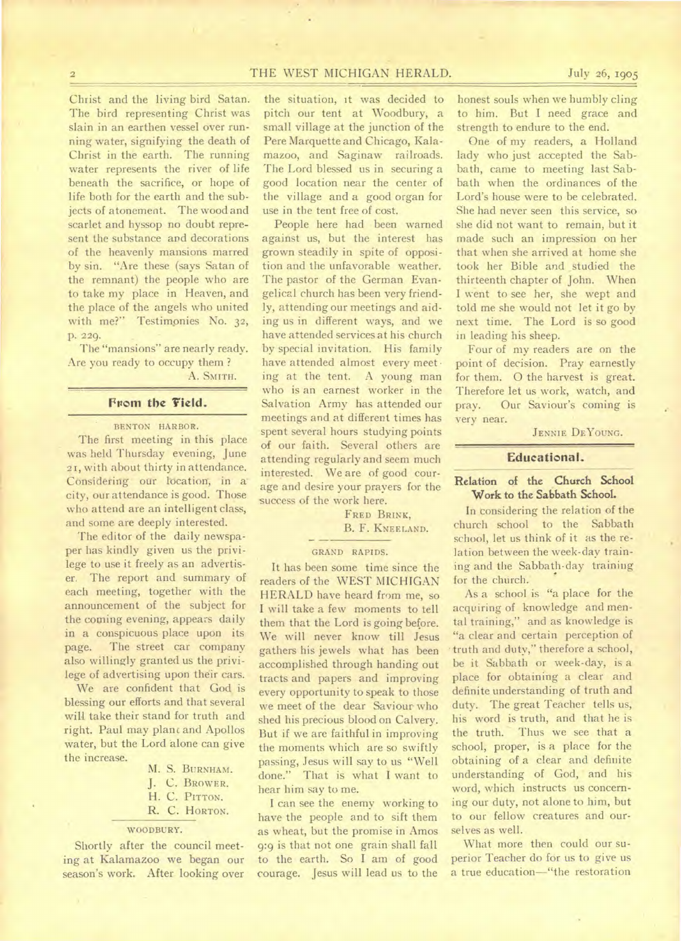# 2 **THE** WEST MICHIGAN HERALD. July 26, 1905

Christ and the living bird Satan. The bird representing Christ was slain in an earthen vessel over running water, signifying the death of Christ in the earth. The running water represents the river of life beneath the sacrifice, or hope of life both for the earth and the subjects of atonement. The wood and scarlet and hyssop no doubt represent the substance and decorations of the heavenly mansions marred by sin. "Are these (says Satan of the remnant) the people who are to take my place in Heaven, and the place of the angels who united with me?" Testimonies No. 32, p. 229.

The "mansions" are nearly ready. Are you ready to occupy them ?

A. SMITH.

# From the Field.

BENTON HARBOR.

The first meeting in this place was held Thursday evening, June 21, with about thirty in attendance. Considering our location, in acity, our attendance is good. Those who attend are an intelligent class, and some are deeply interested.

'The editor of the daily newspaper has kindly given us the privilege to use it freely as an advertiser. The report and summary of each meeting, together with the announcement of the subject for the coming evening, appears daily in a conspicuous place upon its page. The street car company also willingly granted us the privilege of advertising upon their cars.

We are confident that God is blessing our efforts and that several will take their stand for truth and right. Paul may plane and Apollos water, but the Lord alone can give the increase.

> M. S. BURNHAM. J. C. BROWER. H. C. PITTON.

**R.** C. HORTON.

#### WOODBURY.

Shortly after the council meeting at Kalamazoo we began our season's work. After looking over the situation, it was decided to pitch our tent at Woodbury, a small village at the junction of the Pere Marquette and Chicago, Kalamazoo, and Saginaw railroads. The Lord blessed us in securing a good location near the center of the village and a good organ for use in the tent free of cost.

People here had been warned against us, but the interest has grown steadily in spite of opposition and the unfavorable weather. The pastor of the German Evangelical church has been very friendly, attending our meetings and aiding us in different ways, and we have attended services at his church by special invitation. His family have attended almost every meet • ing at the tent. A young man who is an earnest worker in the Salvation Army has attended our meetings and at different times has spent several hours studying points of our faith. Several others are attending regularly and seem much interested. We are of good courage and desire your prayers for the success of the work here.

> FRED BRINK, B. F. KNEELAND.

#### GRAND RAPIDS.

It has been some time since the readers of the WEST MICHIGAN HERALD have heard from me, so I will take a few moments to tell them that the Lord is going before. We will never know till Jesus gathers his jewels what has been accomplished through handing out tracts and papers and improving every opportunity to speak to those we meet of the dear Saviour who shed his precious blood on Calvery. But if we are faithful in improving the moments which are so swiftly passing, Jesus will say to us "Well done." That is what I want to hear him say to me.

I can see the enemy working to have the people and to sift them as wheat, but the promise in Amos 9:9 is that not one grain shall fall to the earth. So I am of good courage. Jesus will lead us to the

honest souls when we humbly cling to him. But I need grace and strength to endure to the end.

One of my readers, a Holland lady who just accepted the Sabbath, came to meeting last Sabbath when the ordinances of the Lord's house were to be celebrated. She had never seen this service, so she did not want to remain, but it made such an impression on her that when she arrived at home she took her Bible and \_studied the thirteenth chapter of John. When I went to see her, she wept and told me she would not let it go by next time. The Lord is so good in leading his sheep.

Four of my readers are on the point of decision. Pray earnestly for them. 0 the harvest is great. Therefore let us work, watch, and pray. Our Saviour's coming is very near.

JENNIE DEYOUNG.

#### **Educational.**

# Relation of the Church School **Work to the Sabbath School.**

In considering the relation of the church school to the Sabbath school, let us think of it as the relation between the week-day training and the Sabbath-day training for the church.

As a school is "a place for the acquiring of knowledge and mental training," and as knowledge is "a clear and certain perception of • truth and duty," therefore a school, be it Sabbath or week-day, is a place for obtaining a clear and definite understanding of truth and duty. The great Teacher tells us, his word is truth, and that he is<br>the truth. Thus we see that a Thus we see that a school, proper, is a place for the obtaining of a clear and definite understanding of God, and his word, which instructs us concerning our duty, not alone to him, but to our fellow creatures and ourselves as well.

What more then could our superior Teacher do for us to give us a true education—"the restoration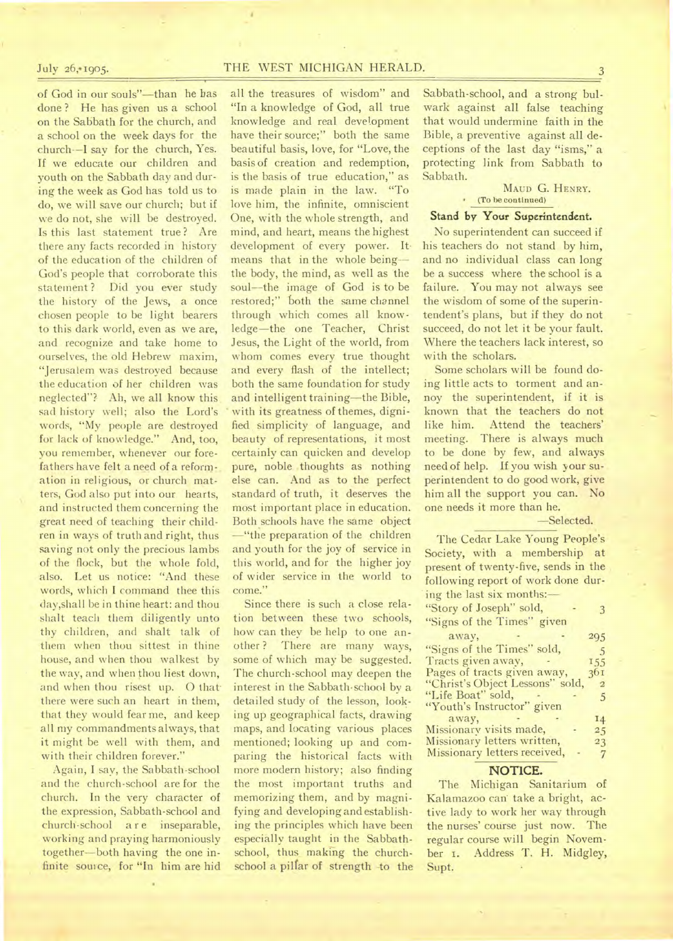July 26, 1905. THE WEST MICHIGAN HERALD. 3

of God in our souls"—than he has done ? He has given us a school on the Sabbath for the church, and a school on the week days for the church--I say for the church, Yes. If we educate our children and youth on the Sabbath day and during the week as God has told us to do, we will save our church; but if we do not, she will be destroyed. Is this last statement true ? Are there any facts recorded in history of the education of the children of God's people that corroborate this statement? Did you ever study the history of the Jews, a once chosen people to be light bearers to this dark world, even as we are, and recognize and take home to ourselves, the old Hebrew maxim, "Jerusalem was destroyed because the education of her children was neglected"? Ah, we all know this sad history well; also the Lord's words, "My people are destroyed for lack of knowledge." And, too, you remember, whenever our forefathers have felt a need of a reformation in religious, or church matters, God also put into our hearts, and instructed them concerning the great need of teaching their children in ways of truth and right, thus saving not only the precious lambs of the flock, but the whole fold, also. Let us notice: "And these words, which I command thee this day,shall be in thine heart: and thou shalt teach them diligently unto thy children, and shalt talk of them when thou sittest in thine house, and when thou walkest by the way, and when thou liest down, and when thou risest up. O that there were such an heart in them, that they would fear me, and keep all my commandments always, that it might be well with them, and with their children forever."

Again, I say, the Sabbath-school and the church-school are for the church. In the very character of the expression, Sabbath-school and church-school are inseparable, working and praying harmoniously together—both having the one infinite source, for "In him are hid

all the treasures of wisdom" and "In a knowledge of God, all true knowledge and real development have their source;" both the same beautiful basis, love, for "Love, the basis of creation and redemption, is the basis of true education," as is made plain in the law. "To love him, the infinite, omniscient One, with the whole strength, and mind, and heart, means the highest development of every power. Itmeans that in the whole being- the body, the mind, as well as the soul--the image of God is to be restored;" both the same channel through which comes all knowledge—the one Teacher, Christ Jesus, the Light of the world, from whom comes every true thought and every flash of the intellect; both the same foundation for study and intelligent training—the Bible, with its greatness of themes, dignified simplicity of language, and beauty of representations, it most certainly can quicken and develop pure, noble thoughts as nothing else can. And as to the perfect standard of truth, it deserves the most important place in education. Both schools have the same object -"the preparation of the children and youth for the joy of service in this world, and for the higher joy of wider service in the world to come."

Since there is such a close relation between these two schools, how can they be help to one another? There are many ways, some of which may be suggested. The church-school may deepen the interest in the Sabbath-school by a detailed study of the lesson, looking up geographical facts, drawing maps, and locating various places mentioned; looking up and comparing the historical facts with more modern history; also finding the most important truths and memorizing them, and by magnifying and developing and establishing the principles which have been especially taught in the Sabbathschool, thus making the churchschool a pillar of strength -to the

Sabbath-school, and a strong bulwark against all false teaching that would undermine faith in the Bible, a preventive against all deceptions of the last day "isms," a protecting link from Sabbath to Sabbath.

#### MAUD G. HENRY. (To be continued)

#### Stand by Your Superintendent.

No superintendent can succeed if his teachers do not stand by him, and no individual class can long be a success where the school is a failure. You may not always see the wisdom of some of the superintendent's plans, but if they do not succeed, do not let it be your fault. Where the teachers lack interest, so with the scholars.

Some scholars will be found doing little acts to torment and annoy the superintendent, if it is known that the teachers do not like him. Attend the teachers' meeting. There is always much to be done by few, and always need of help. If you wish your superintendent to do good work, give him all the support you can. No one needs it more than he.

#### —Selected.

The Cedar Lake Young People's Society, with a membership at present of twenty-five, sends in the following report of work done during the last six months:— "Story of Joseph" sold, 3 "Signs of the Times" given away, - 295 "Signs of the Times" sold, 5<br>Tracts given away, 5<br>155 Tracts given away, 155<br>Pages of tracts given away, 361 Pages of tracts given away, 361<br>"Christ's Object Lessons" sold, 2 "Christ's Object Lessons" sold, "Life Boat" sold, 5 "Youth's Instructor" given away, 14 Missionary visits made, 25<br>Missionary letters written, 23 Missionary letters written, Missionary letters received, - 7

#### **NOTICE.**

The Michigan Sanitarium of Kalamazoo can take a bright, active lady to work her way through the nurses' course just now. The regular course will begin November 1. Address T. H. Midgley, Supt.